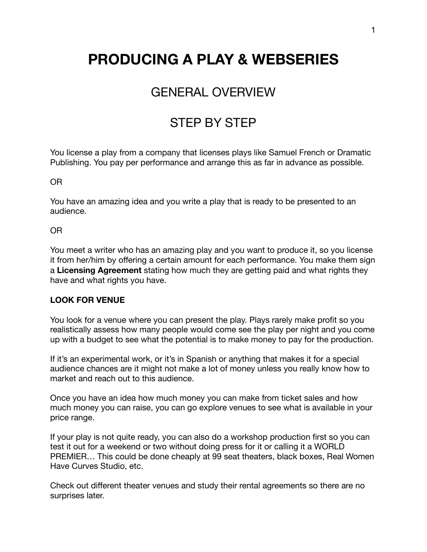# **PRODUCING A PLAY & WEBSERIES**

# GENERAL OVERVIEW

# STEP BY STEP

You license a play from a company that licenses plays like Samuel French or Dramatic Publishing. You pay per performance and arrange this as far in advance as possible.

OR

You have an amazing idea and you write a play that is ready to be presented to an audience.

OR

You meet a writer who has an amazing play and you want to produce it, so you license it from her/him by offering a certain amount for each performance. You make them sign a **Licensing Agreement** stating how much they are getting paid and what rights they have and what rights you have.

#### **LOOK FOR VENUE**

You look for a venue where you can present the play. Plays rarely make profit so you realistically assess how many people would come see the play per night and you come up with a budget to see what the potential is to make money to pay for the production.

If it's an experimental work, or it's in Spanish or anything that makes it for a special audience chances are it might not make a lot of money unless you really know how to market and reach out to this audience.

Once you have an idea how much money you can make from ticket sales and how much money you can raise, you can go explore venues to see what is available in your price range.

If your play is not quite ready, you can also do a workshop production first so you can test it out for a weekend or two without doing press for it or calling it a WORLD PREMIER… This could be done cheaply at 99 seat theaters, black boxes, Real Women Have Curves Studio, etc.

Check out different theater venues and study their rental agreements so there are no surprises later.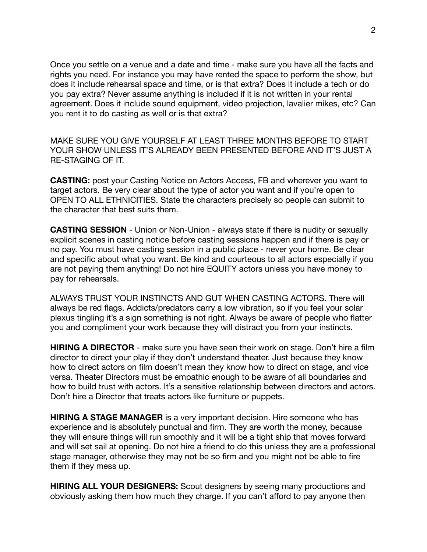Once you settle on a venue and a date and time - make sure you have all the facts and rights you need. For instance you may have rented the space to perform the show, but does it include rehearsal space and time, or is that extra? Does it include a tech or do you pay extra? Never assume anything is included if it is not written in your rental agreement. Does it include sound equipment, video projection, lavalier mikes, etc? Can you rent it to do casting as well or is that extra?

MAKE SURE YOU GIVE YOURSELF AT LEAST THREE MONTHS BEFORE TO START YOUR SHOW UNLESS IT'S ALREADY BEEN PRESENTED BEFORE AND IT'S JUST A RE-STAGING OF IT.

**CASTING:** post your Casting Notice on Actors Access, FB and wherever you want to target actors. Be very clear about the type of actor you want and if you're open to OPEN TO ALL ETHNICITIES. State the characters precisely so people can submit to the character that best suits them.

**CASTING SESSION** - Union or Non-Union - always state if there is nudity or sexually explicit scenes in casting notice before casting sessions happen and if there is pay or no pay. You must have casting session in a public place - never your home. Be clear and specific about what you want. Be kind and courteous to all actors especially if you are not paying them anything! Do not hire EQUITY actors unless you have money to pay for rehearsals.

ALWAYS TRUST YOUR INSTINCTS AND GUT WHEN CASTING ACTORS. There will always be red flags. Addicts/predators carry a low vibration, so if you feel your solar plexus tingling it's a sign something is not right. Always be aware of people who flatter you and compliment your work because they will distract you from your instincts.

**HIRING A DIRECTOR** - make sure you have seen their work on stage. Don't hire a film director to direct your play if they don't understand theater. Just because they know how to direct actors on film doesn't mean they know how to direct on stage, and vice versa. Theater Directors must be empathic enough to be aware of all boundaries and how to build trust with actors. It's a sensitive relationship between directors and actors. Don't hire a Director that treats actors like furniture or puppets.

**HIRING A STAGE MANAGER** is a very important decision. Hire someone who has experience and is absolutely punctual and firm. They are worth the money, because they will ensure things will run smoothly and it will be a tight ship that moves forward and will set sail at opening. Do not hire a friend to do this unless they are a professional stage manager, otherwise they may not be so firm and you might not be able to fire them if they mess up.

**HIRING ALL YOUR DESIGNERS:** Scout designers by seeing many productions and obviously asking them how much they charge. If you can't afford to pay anyone then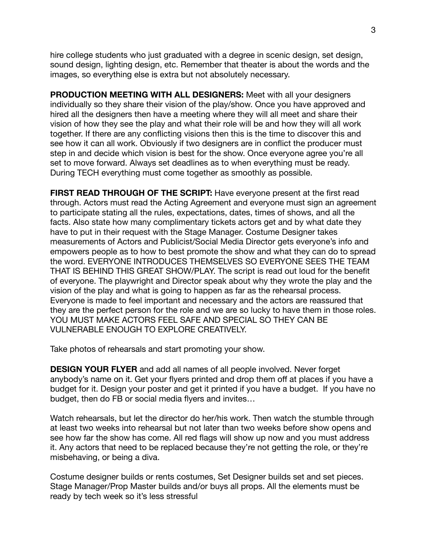hire college students who just graduated with a degree in scenic design, set design, sound design, lighting design, etc. Remember that theater is about the words and the images, so everything else is extra but not absolutely necessary.

**PRODUCTION MEETING WITH ALL DESIGNERS:** Meet with all your designers individually so they share their vision of the play/show. Once you have approved and hired all the designers then have a meeting where they will all meet and share their vision of how they see the play and what their role will be and how they will all work together. If there are any conflicting visions then this is the time to discover this and see how it can all work. Obviously if two designers are in conflict the producer must step in and decide which vision is best for the show. Once everyone agree you're all set to move forward. Always set deadlines as to when everything must be ready. During TECH everything must come together as smoothly as possible.

**FIRST READ THROUGH OF THE SCRIPT:** Have everyone present at the first read through. Actors must read the Acting Agreement and everyone must sign an agreement to participate stating all the rules, expectations, dates, times of shows, and all the facts. Also state how many complimentary tickets actors get and by what date they have to put in their request with the Stage Manager. Costume Designer takes measurements of Actors and Publicist/Social Media Director gets everyone's info and empowers people as to how to best promote the show and what they can do to spread the word. EVERYONE INTRODUCES THEMSELVES SO EVERYONE SEES THE TEAM THAT IS BEHIND THIS GREAT SHOW/PLAY. The script is read out loud for the benefit of everyone. The playwright and Director speak about why they wrote the play and the vision of the play and what is going to happen as far as the rehearsal process. Everyone is made to feel important and necessary and the actors are reassured that they are the perfect person for the role and we are so lucky to have them in those roles. YOU MUST MAKE ACTORS FEEL SAFE AND SPECIAL SO THEY CAN BE VULNERABLE ENOUGH TO EXPLORE CREATIVELY.

Take photos of rehearsals and start promoting your show.

**DESIGN YOUR FLYER** and add all names of all people involved. Never forget anybody's name on it. Get your flyers printed and drop them off at places if you have a budget for it. Design your poster and get it printed if you have a budget. If you have no budget, then do FB or social media flyers and invites…

Watch rehearsals, but let the director do her/his work. Then watch the stumble through at least two weeks into rehearsal but not later than two weeks before show opens and see how far the show has come. All red flags will show up now and you must address it. Any actors that need to be replaced because they're not getting the role, or they're misbehaving, or being a diva.

Costume designer builds or rents costumes, Set Designer builds set and set pieces. Stage Manager/Prop Master builds and/or buys all props. All the elements must be ready by tech week so it's less stressful